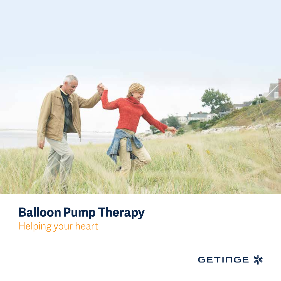

# **Balloon Pump Therapy**

Helping your heart

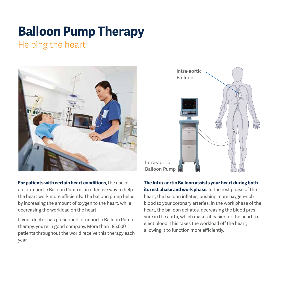## **Balloon Pump Therapy**

#### Helping the heart



**For patients with certain heart conditions,**the use of an Intra-aortic Balloon Pump is an effective way to help the heart work more efficiently. The balloon pump helps by increasing the amount of oxygen to the heart, while decreasing the workload on the heart.

If your doctor has prescribed Intra-aortic Balloon Pump therapy, you're in good company. More than 185,000 patients throughout the world receive this therapy each year.



**The Intra-aortic Balloon assists your heart during both its rest phase and work phase.** In the rest phase of the heart, the balloon inflates, pushing more oxygen-rich blood to your coronary arteries. In the work phase of the heart, the balloon deflates, decreasing the blood pressure in the aorta, which makes it easier for the heart to eject blood. This takes the workload off the heart, allowing it to function more efficiently.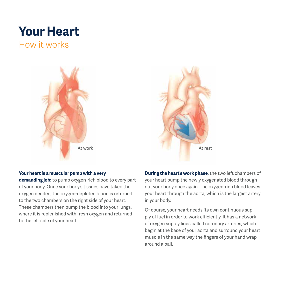### **Your Heart**

### How it works





#### **Your heart is a muscular pump with a very**

**demanding job:** to pump oxygen-rich blood to every part of your body. Once your body's tissues have taken the oxygen needed, the oxygen-depleted blood is returned to the two chambers on the right side of your heart. These chambers then pump the blood into your lungs, where it is replenished with fresh oxygen and returned to the left side of your heart.

**During the heart's work phase,** the two left chambers of your heart pump the newly oxygenated blood throughout your body once again. The oxygen-rich blood leaves your heart through the aorta, which is the largest artery in your body.

Of course, your heart needs its own continuous supply of fuel in order to work efficiently. It has a network of oxygen supply lines called coronary arteries, which begin at the base of your aorta and surround your heart muscle in the same way the fingers of your hand wrap around a ball.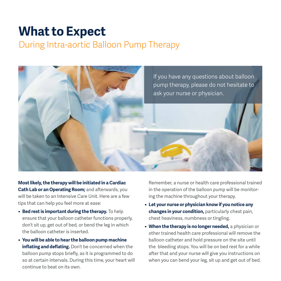### **What to Expect**

#### During Intra-aortic Balloon Pump Therapy



**Most likely, the therapy will be initiated in a Cardiac Cath Lab or an Operating Room;** and afterwards, you will be taken to an Intensive Care Unit. Here are a few tips that can help you feel more at ease:

- **• Bed rest is important during the therapy.** To help ensure that your balloon catheter functions properly, don't sit up, get out of bed, or bend the leg in which the balloon catheter is inserted.
- **• You will be able to hear the balloon pump machine inflating and deflating.** Don't be concerned when the balloon pump stops briefly, as it is programmed to do so at certain intervals. During this time, your heart will continue to beat on its own.

Remember, a nurse or health care professional trained in the operation of the balloon pump will be monitoring the machine throughout your therapy.

- **• Let your nurse or physician know if you notice any changes in your condition,** particularly chest pain, chest heaviness, numbness or tingling.
- **• When the therapy is no longer needed,** a physician or other trained health care professional will remove the balloon catheter and hold pressure on the site until the bleeding stops. You will be on bed rest for a while after that and your nurse will give you instructions on when you can bend your leg, sit up and get out of bed.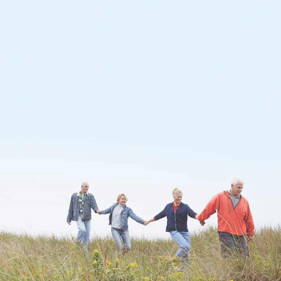